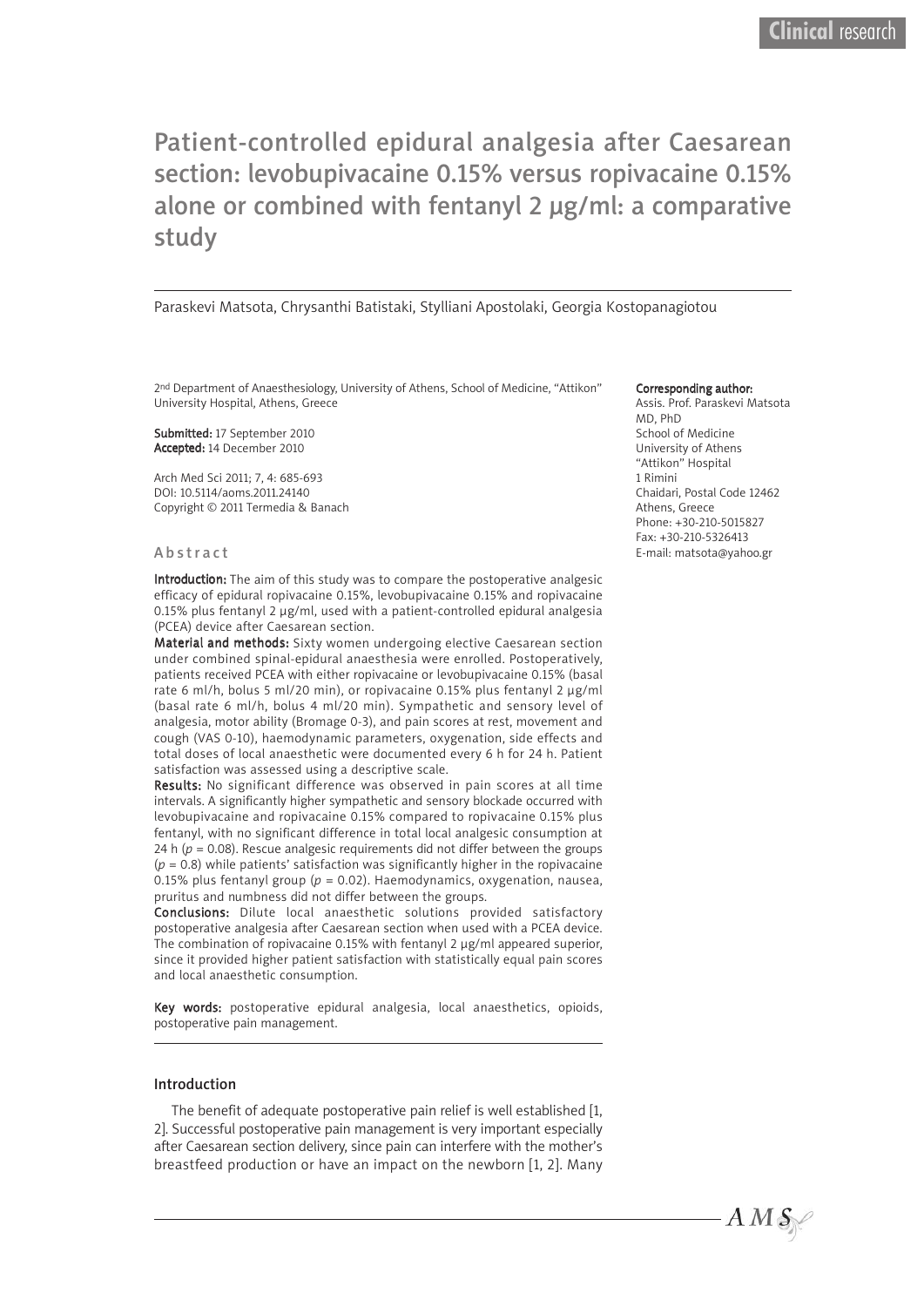# Patient-controlled epidural analgesia after Caesarean section: levobupivacaine 0.15% versus ropivacaine 0.15% alone or combined with fentanyl 2 µg/ml: a comparative study

Paraskevi Matsota, Chrysanthi Batistaki, Stylliani Apostolaki, Georgia Kostopanagiotou

2nd Department of Anaesthesiology, University of Athens, School of Medicine, "Attikon" University Hospital, Athens, Greece

Submitted: 17 September 2010 Accepted: 14 December 2010

Arch Med Sci 2011; 7, 4: 685-693 DOI: 10.5114/aoms.2011.24140 Copyright © 2011 Termedia & Banach

## **Abstract**

Introduction: The aim of this study was to compare the postoperative analgesic efficacy of epidural ropivacaine 0.15%, levobupivacaine 0.15% and ropivacaine 0.15% plus fentanyl 2 µg/ml, used with a patient-controlled epidural analgesia (PCEA) device after Caesarean section.

Material and methods: Sixty women undergoing elective Caesarean section under combined spinal-epidural anaesthesia were enrolled. Postoperatively, patients received PCEA with either ropivacaine or levobupivacaine 0.15% (basal rate 6 ml/h, bolus 5 ml/20 min), or ropivacaine 0.15% plus fentanyl 2 µg/ml (basal rate 6 ml/h, bolus 4 ml/20 min). Sympathetic and sensory level of analgesia, motor ability (Bromage 0-3), and pain scores at rest, movement and cough (VAS 0-10), haemodynamic parameters, oxygenation, side effects and total doses of local anaesthetic were documented every 6 h for 24 h. Patient satisfaction was assessed using a descriptive scale.

Results: No significant difference was observed in pain scores at all time intervals. A significantly higher sympathetic and sensory blockade occurred with levobupivacaine and ropivacaine 0.15% compared to ropivacaine 0.15% plus fentanyl, with no significant difference in total local analgesic consumption at 24 h ( $p = 0.08$ ). Rescue analgesic requirements did not differ between the groups (*p* = 0.8) while patients' satisfaction was significantly higher in the ropivacaine 0.15% plus fentanyl group (*p* = 0.02). Haemodynamics, oxygenation, nausea, pruritus and numbness did not differ between the groups.

Conclusions: Dilute local anaesthetic solutions provided satisfactory postoperative analgesia after Caesarean section when used with a PCEA device. The combination of ropivacaine 0.15% with fentanyl 2 µg/ml appeared superior, since it provided higher patient satisfaction with statistically equal pain scores and local anaesthetic consumption.

Key words: postoperative epidural analgesia, local anaesthetics, opioids, postoperative pain management.

#### Introduction

The benefit of adequate postoperative pain relief is well established [1, 2]. Successful postoperative pain management is very important especially after Caesarean section delivery, since pain can interfere with the mother's breastfeed production or have an impact on the newborn [1, 2]. Many

#### Corresponding author:

Assis. Prof. Paraskevi Matsota MD, PhD School of Medicine University of Athens "Attikon" Hospital 1 Rimini Chaidari, Postal Code 12462 Athens, Greece Phone: +30-210-5015827 Fax: +30-210-5326413 E-mail: matsota@yahoo.gr

 $A M S$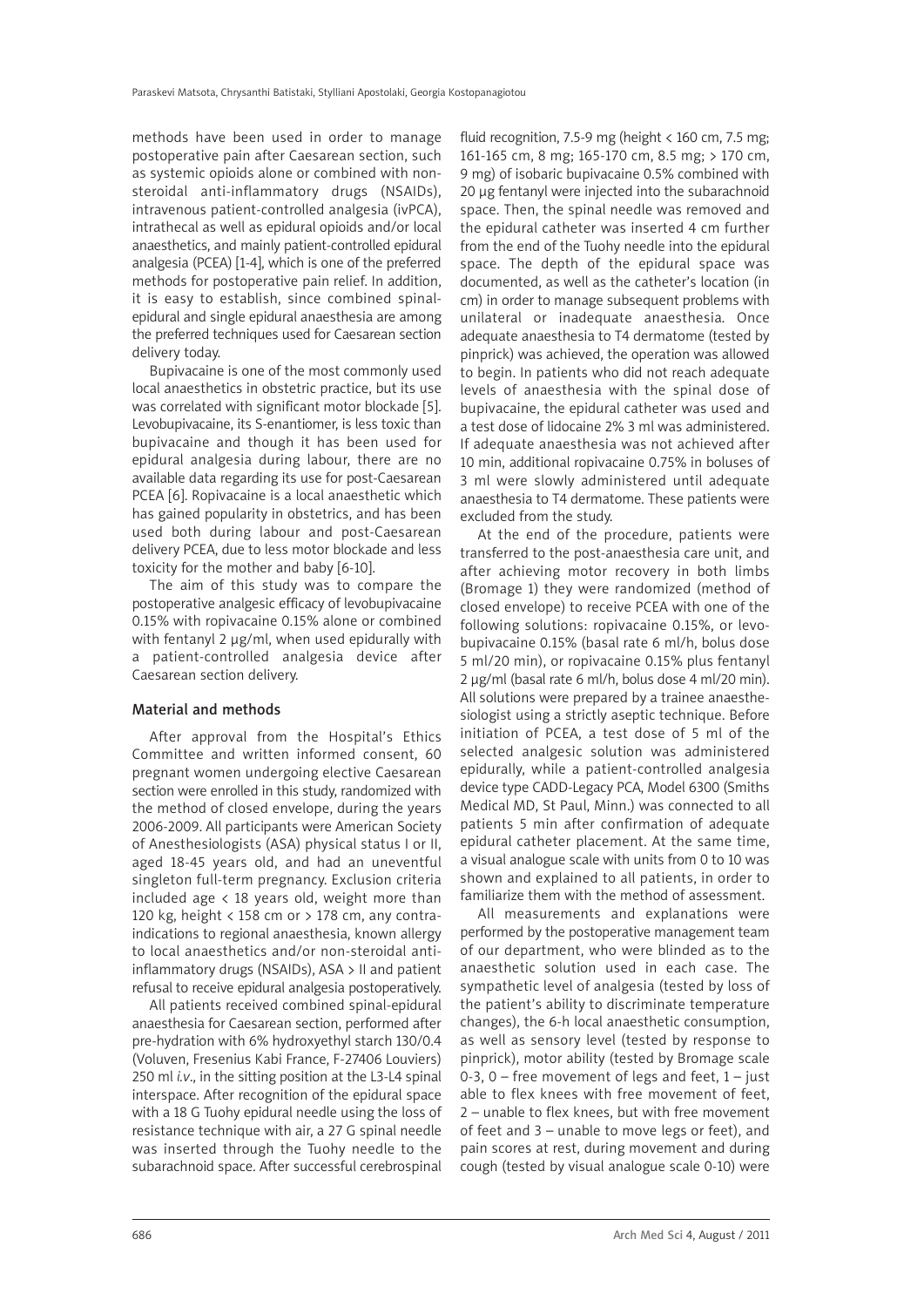methods have been used in order to manage postoperative pain after Caesarean section, such as systemic opioids alone or combined with nonsteroidal anti-inflammatory drugs (NSAIDs), intravenous patient-controlled analgesia (ivPCA), intrathecal as well as epidural opioids and/or local anaesthetics, and mainly patient-controlled epidural analgesia (PCEA) [1-4], which is one of the preferred methods for postoperative pain relief. In addition, it is easy to establish, since combined spinalepidural and single epidural anaesthesia are among the preferred techniques used for Caesarean section delivery today.

Bupivacaine is one of the most commonly used local anaesthetics in obstetric practice, but its use was correlated with significant motor blockade [5]. Levobupivacaine, its S-enantiomer, is less toxic than bupivacaine and though it has been used for epidural analgesia during labour, there are no available data regarding its use for post-Caesarean PCEA [6]. Ropivacaine is a local anaesthetic which has gained popularity in obstetrics, and has been used both during labour and post-Caesarean delivery PCEA, due to less motor blockade and less toxicity for the mother and baby [6-10].

The aim of this study was to compare the postoperative analgesic efficacy of levobupivacaine 0.15% with ropivacaine 0.15% alone or combined with fentanyl 2 µg/ml, when used epidurally with a patient-controlled analgesia device after Caesarean section delivery.

## Material and methods

After approval from the Hospital's Ethics Committee and written informed consent, 60 pregnant women undergoing elective Caesarean section were enrolled in this study, randomized with the method of closed envelope, during the years 2006-2009. All participants were American Society of Anesthesiologists (ASA) physical status I or II, aged 18-45 years old, and had an uneventful singleton full-term pregnancy. Exclusion criteria included age < 18 years old, weight more than 120 kg, height < 158 cm or > 178 cm, any contraindications to regional anaesthesia, known allergy to local anaesthetics and/or non-steroidal antiinflammatory drugs (NSAIDs), ASA > II and patient refusal to receive epidural analgesia postoperatively.

All patients received combined spinal-epidural anaesthesia for Caesarean section, performed after pre-hydration with 6% hydroxyethyl starch 130/0.4 (Voluven, Fresenius Kabi France, F-27406 Louviers) 250 ml *i.v*., in the sitting position at the L3-L4 spinal interspace. After recognition of the epidural space with a 18 G Tuohy epidural needle using the loss of resistance technique with air, a 27 G spinal needle was inserted through the Tuohy needle to the subarachnoid space. After successful cerebrospinal fluid recognition, 7.5-9 mg (height  $<$  160 cm, 7.5 mg; 161-165 cm, 8 mg; 165-170 cm, 8.5 mg; > 170 cm, 9 mg) of isobaric bupivacaine 0.5% combined with 20 µg fentanyl were injected into the subarachnoid space. Then, the spinal needle was removed and the epidural catheter was inserted 4 cm further from the end of the Tuohy needle into the epidural space. The depth of the epidural space was documented, as well as the catheter's location (in cm) in order to manage subsequent problems with unilateral or inadequate anaesthesia. Once adequate anaesthesia to T4 dermatome (tested by pinprick) was achieved, the operation was allowed to begin. In patients who did not reach adequate levels of anaesthesia with the spinal dose of bupivacaine, the epidural catheter was used and a test dose of lidocaine 2% 3 ml was administered. If adequate anaesthesia was not achieved after 10 min, additional ropivacaine 0.75% in boluses of 3 ml were slowly administered until adequate anaesthesia to T4 dermatome. These patients were excluded from the study.

At the end of the procedure, patients were transferred to the post-anaesthesia care unit, and after achieving motor recovery in both limbs (Bromage 1) they were randomized (method of closed envelope) to receive PCEA with one of the following solutions: ropivacaine 0.15%, or levobupivacaine 0.15% (basal rate 6 ml/h, bolus dose 5 ml/20 min), or ropivacaine 0.15% plus fentanyl 2 µg/ml (basal rate 6 ml/h, bolus dose 4 ml/20 min). All solutions were prepared by a trainee anaesthesiologist using a strictly aseptic technique. Before initiation of PCEA, a test dose of 5 ml of the selected analgesic solution was administered epidurally, while a patient-controlled analgesia device type CADD-Legacy PCA, Model 6300 (Smiths Medical MD, St Paul, Minn.) was connected to all patients 5 min after confirmation of adequate epidural catheter placement. At the same time, a visual analogue scale with units from 0 to 10 was shown and explained to all patients, in order to familiarize them with the method of assessment.

All measurements and explanations were performed by the postoperative management team of our department, who were blinded as to the anaesthetic solution used in each case. The sympathetic level of analgesia (tested by loss of the patient's ability to discriminate temperature changes), the 6-h local anaesthetic consumption, as well as sensory level (tested by response to pinprick), motor ability (tested by Bromage scale 0-3, 0 – free movement of legs and feet,  $1 -$  just able to flex knees with free movement of feet, 2 – unable to flex knees, but with free movement of feet and 3 – unable to move legs or feet), and pain scores at rest, during movement and during cough (tested by visual analogue scale 0-10) were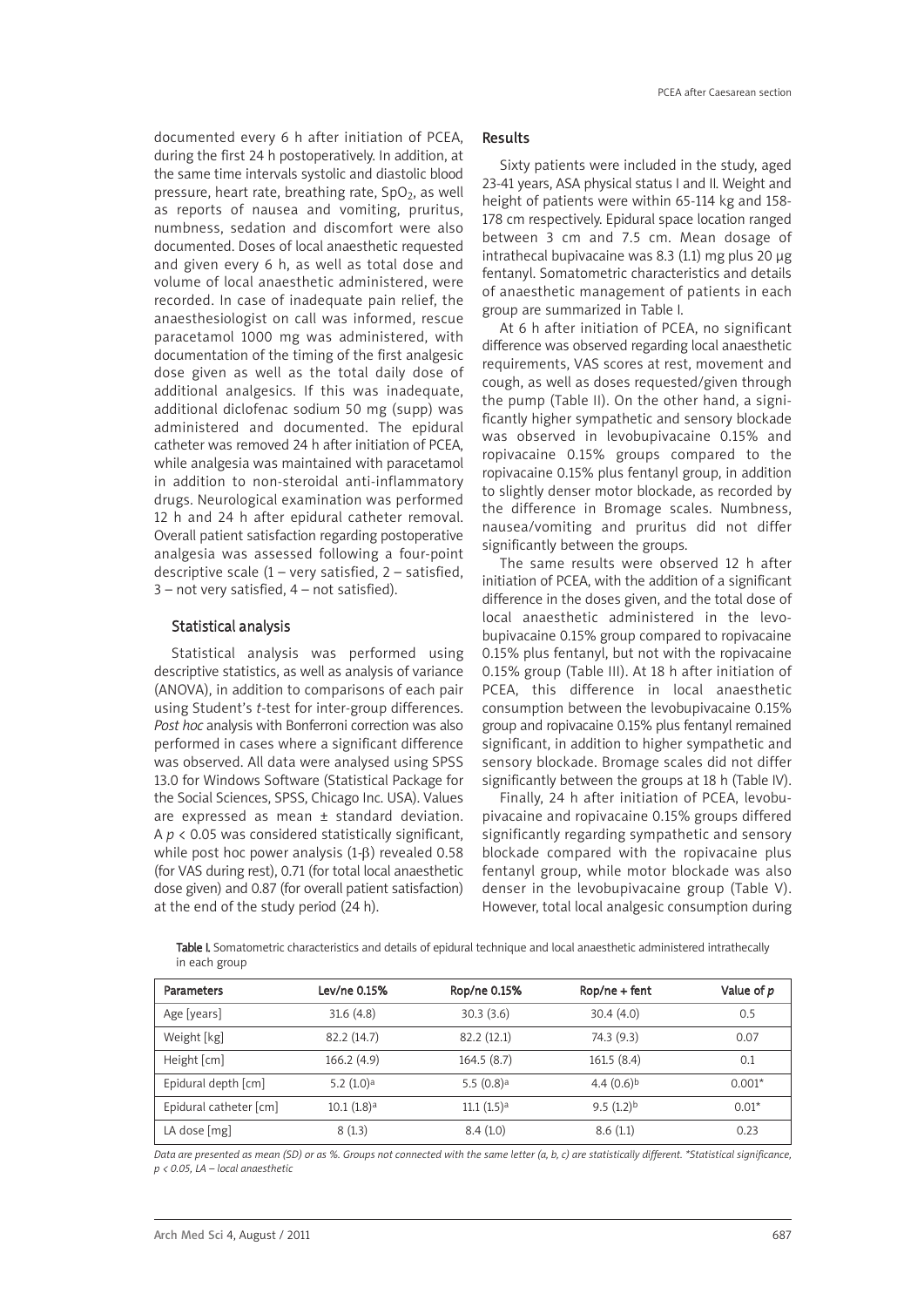documented every 6 h after initiation of PCEA, during the first 24 h postoperatively. In addition, at the same time intervals systolic and diastolic blood pressure, heart rate, breathing rate,  $SpO<sub>2</sub>$ , as well as reports of nausea and vomiting, pruritus, numbness, sedation and discomfort were also documented. Doses of local anaesthetic requested and given every 6 h, as well as total dose and volume of local anaesthetic administered, were recorded. In case of inadequate pain relief, the anaesthesiologist on call was informed, rescue paracetamol 1000 mg was administered, with documentation of the timing of the first analgesic dose given as well as the total daily dose of additional analgesics. If this was inadequate, additional diclofenac sodium 50 mg (supp) was administered and documented. The epidural catheter was removed 24 h after initiation of PCEA, while analgesia was maintained with paracetamol in addition to non-steroidal anti-inflammatory drugs. Neurological examination was performed 12 h and 24 h after epidural catheter removal. Overall patient satisfaction regarding postoperative analgesia was assessed following a four-point descriptive scale  $(1 - \text{very satisfied}, 2 - \text{ satisfied}, 1)$ 3 – not very satisfied, 4 – not satisfied).

## Statistical analysis

Statistical analysis was performed using descriptive statistics, as well as analysis of variance (ANOVA), in addition to comparisons of each pair using Student's *t*-test for inter-group differences. *Post hoc* analysis with Bonferroni correction was also performed in cases where a significant difference was observed. All data were analysed using SPSS 13.0 for Windows Software (Statistical Package for the Social Sciences, SPSS, Chicago Inc. USA). Values are expressed as mean ± standard deviation. A *p* < 0.05 was considered statistically significant, while post hoc power analysis (1-β) revealed 0.58 (for VAS during rest), 0.71 (for total local anaesthetic dose given) and 0.87 (for overall patient satisfaction) at the end of the study period (24 h).

### Results

Sixty patients were included in the study, aged 23-41 years, ASA physical status I and II. Weight and height of patients were within 65-114 kg and 158- 178 cm respectively. Epidural space location ranged between 3 cm and 7.5 cm. Mean dosage of intrathecal bupivacaine was 8.3 (1.1) mg plus 20 µg fentanyl. Somatometric characteristics and details of anaesthetic management of patients in each group are summarized in Table I.

At 6 h after initiation of PCEA, no significant difference was observed regarding local anaesthetic requirements, VAS scores at rest, movement and cough, as well as doses requested/given through the pump (Table II). On the other hand, a significantly higher sympathetic and sensory blockade was observed in levobupivacaine 0.15% and ropivacaine 0.15% groups compared to the ropivacaine 0.15% plus fentanyl group, in addition to slightly denser motor blockade, as recorded by the difference in Bromage scales. Numbness, nausea/vomiting and pruritus did not differ significantly between the groups.

The same results were observed 12 h after initiation of PCEA, with the addition of a significant difference in the doses given, and the total dose of local anaesthetic administered in the levobupivacaine 0.15% group compared to ropivacaine 0.15% plus fentanyl, but not with the ropivacaine 0.15% group (Table III). At 18 h after initiation of PCEA, this difference in local anaesthetic consumption between the levobupivacaine 0.15% group and ropivacaine 0.15% plus fentanyl remained significant, in addition to higher sympathetic and sensory blockade. Bromage scales did not differ significantly between the groups at 18 h (Table IV).

Finally, 24 h after initiation of PCEA, levobupivacaine and ropivacaine 0.15% groups differed significantly regarding sympathetic and sensory blockade compared with the ropivacaine plus fentanyl group, while motor blockade was also denser in the levobupivacaine group (Table V). However, total local analgesic consumption during

Table I. Somatometric characteristics and details of epidural technique and local anaesthetic administered intrathecally in each group

| <b>Parameters</b>      | Lev/ne 0.15%             | Rop/ne 0.15%             | $Rop/ne + fent$ | Value of p |
|------------------------|--------------------------|--------------------------|-----------------|------------|
| Age [years]            | 31.6(4.8)                | 30.3(3.6)                | 30.4(4.0)       | 0.5        |
| Weight [kg]            | 82.2(14.7)               | 82.2 (12.1)              | 74.3(9.3)       | 0.07       |
| Height [cm]            | 166.2(4.9)               | 164.5(8.7)               | 161.5(8.4)      | 0.1        |
| Epidural depth [cm]    | 5.2 $(1.0)^a$            | 5.5 $(0.8)$ <sup>a</sup> | 4.4 $(0.6)^b$   | $0.001*$   |
| Epidural catheter [cm] | $10.1(1.8)$ <sup>a</sup> | $11.1(1.5)$ <sup>a</sup> | $9.5(1.2)^{b}$  | $0.01*$    |
| LA dose [mg]           | 8(1.3)                   | 8.4(1.0)                 | 8.6(1.1)        | 0.23       |

Data are presented as mean (SD) or as %. Groups not connected with the same letter (a, b, c) are statistically different. \*Statistical significance, *p < 0.05, LA – local anaesthetic*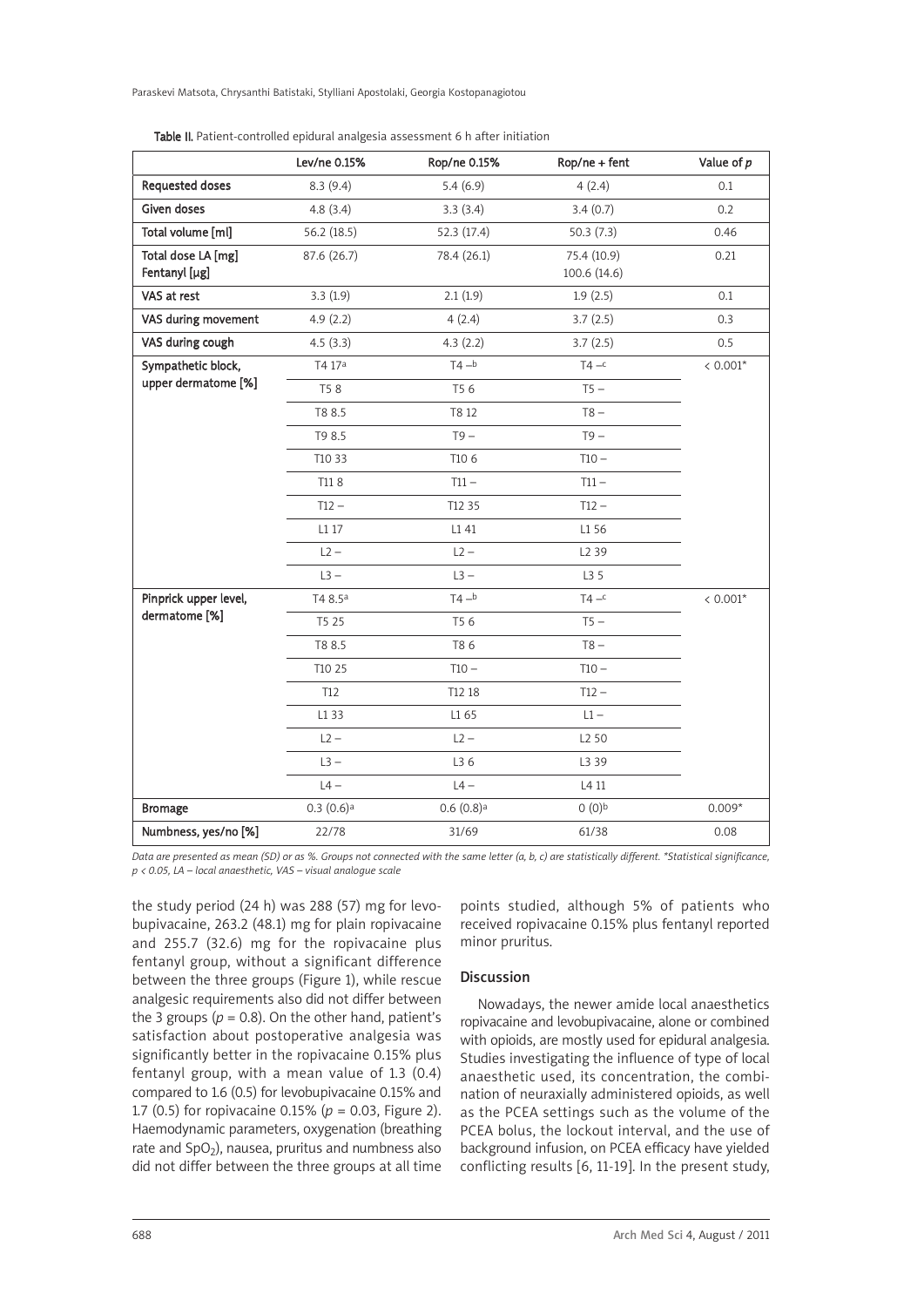Paraskevi Matsota, Chrysanthi Batistaki, Stylliani Apostolaki, Georgia Kostopanagiotou

Table II. Patient-controlled epidural analgesia assessment 6 h after initiation

|                                     | Lev/ne 0.15%            | Rop/ne 0.15%          | Rop/ne + fent               | Value of p |
|-------------------------------------|-------------------------|-----------------------|-----------------------------|------------|
| <b>Requested doses</b>              | 8.3(9.4)                | 5.4(6.9)              | 4(2.4)                      | 0.1        |
| Given doses                         | 4.8(3.4)                | 3.3(3.4)              | 3.4(0.7)                    | 0.2        |
| Total volume [ml]                   | 56.2(18.5)              | 52.3 (17.4)           | 50.3(7.3)                   | 0.46       |
| Total dose LA [mg]<br>Fentanyl [µg] | 87.6 (26.7)             | 78.4 (26.1)           | 75.4 (10.9)<br>100.6 (14.6) | 0.21       |
| VAS at rest                         | 3.3(1.9)                | 2.1(1.9)              | 1.9(2.5)                    | 0.1        |
| VAS during movement                 | 4.9(2.2)                | 4(2.4)                | 3.7(2.5)                    | 0.3        |
| VAS during cough                    | 4.5(3.3)                | 4.3(2.2)              | 3.7(2.5)                    | 0.5        |
| Sympathetic block,                  | T4 17 <sup>a</sup>      | $T4 -b$               | $T4 - c$                    | $< 0.001*$ |
| upper dermatome [%]                 | T58                     | T5 6                  | $T5 -$                      |            |
|                                     | T8 8.5                  | T8 12                 | $T8 -$                      |            |
|                                     | T9 8.5                  | $T9-$                 | $T9-$                       |            |
|                                     | T <sub>10</sub> 33      | T106                  | $T10 -$                     |            |
|                                     | T118                    | $T11-$                | $T11-$                      |            |
|                                     | $T12 -$                 | T12 35                | $T12 -$                     |            |
|                                     | L1 17                   | L1 41                 | L1 56                       |            |
|                                     | $L2 -$                  | $L2 -$                | L <sub>2</sub> 39           |            |
|                                     | $L3 -$                  | $L3 -$                | L3 5                        |            |
| Pinprick upper level,               | T4 8.5ª                 | $T4 -b$               | $T4 - c$                    | $< 0.001*$ |
| dermatome [%]                       | T5 25                   | T56                   | $T5 -$                      |            |
|                                     | T8 8.5                  | T8 6                  | $T8 -$                      |            |
|                                     | T10 25                  | $T10 -$               | $T10 -$                     |            |
|                                     | T <sub>12</sub>         | T12 18                | $T12 -$                     |            |
|                                     | L1 33                   | L1 65                 | $L1 -$                      |            |
|                                     | $L2 -$                  | $L2 -$                | L <sub>2</sub> 50           |            |
|                                     | $L3 -$                  | L3 6                  | L3 39                       |            |
|                                     | $L4 -$                  | $L4 -$                | L4 11                       |            |
| <b>Bromage</b>                      | $0.3(0.6)$ <sup>a</sup> | 0.6(0.8) <sup>a</sup> | $0(0)^{b}$                  | $0.009*$   |
| Numbness, yes/no [%]                | 22/78                   | 31/69                 | 61/38                       | 0.08       |

Data are presented as mean (SD) or as %. Groups not connected with the same letter (a, b, c) are statistically different. \*Statistical significance, *p < 0.05, LA – local anaesthetic, VAS – visual analogue scale*

the study period (24 h) was 288 (57) mg for levobupivacaine, 263.2 (48.1) mg for plain ropivacaine and 255.7 (32.6) mg for the ropivacaine plus fentanyl group, without a significant difference between the three groups (Figure 1), while rescue analgesic requirements also did not differ between the 3 groups  $(p = 0.8)$ . On the other hand, patient's satisfaction about postoperative analgesia was significantly better in the ropivacaine 0.15% plus fentanyl group, with a mean value of 1.3 (0.4) compared to 1.6 (0.5) for levobupivacaine 0.15% and 1.7 (0.5) for ropivacaine 0.15% (*p* = 0.03, Figure 2). Haemodynamic parameters, oxygenation (breathing rate and  $SpO<sub>2</sub>$ ), nausea, pruritus and numbness also did not differ between the three groups at all time

points studied, although 5% of patients who received ropivacaine 0.15% plus fentanyl reported minor pruritus.

# Discussion

Nowadays, the newer amide local anaesthetics ropivacaine and levobupivacaine, alone or combined with opioids, are mostly used for epidural analgesia. Studies investigating the influence of type of local anaesthetic used, its concentration, the combination of neuraxially administered opioids, as well as the PCEA settings such as the volume of the PCEA bolus, the lockout interval, and the use of background infusion, on PCEA efficacy have yielded conflicting results [6, 11-19]. In the present study,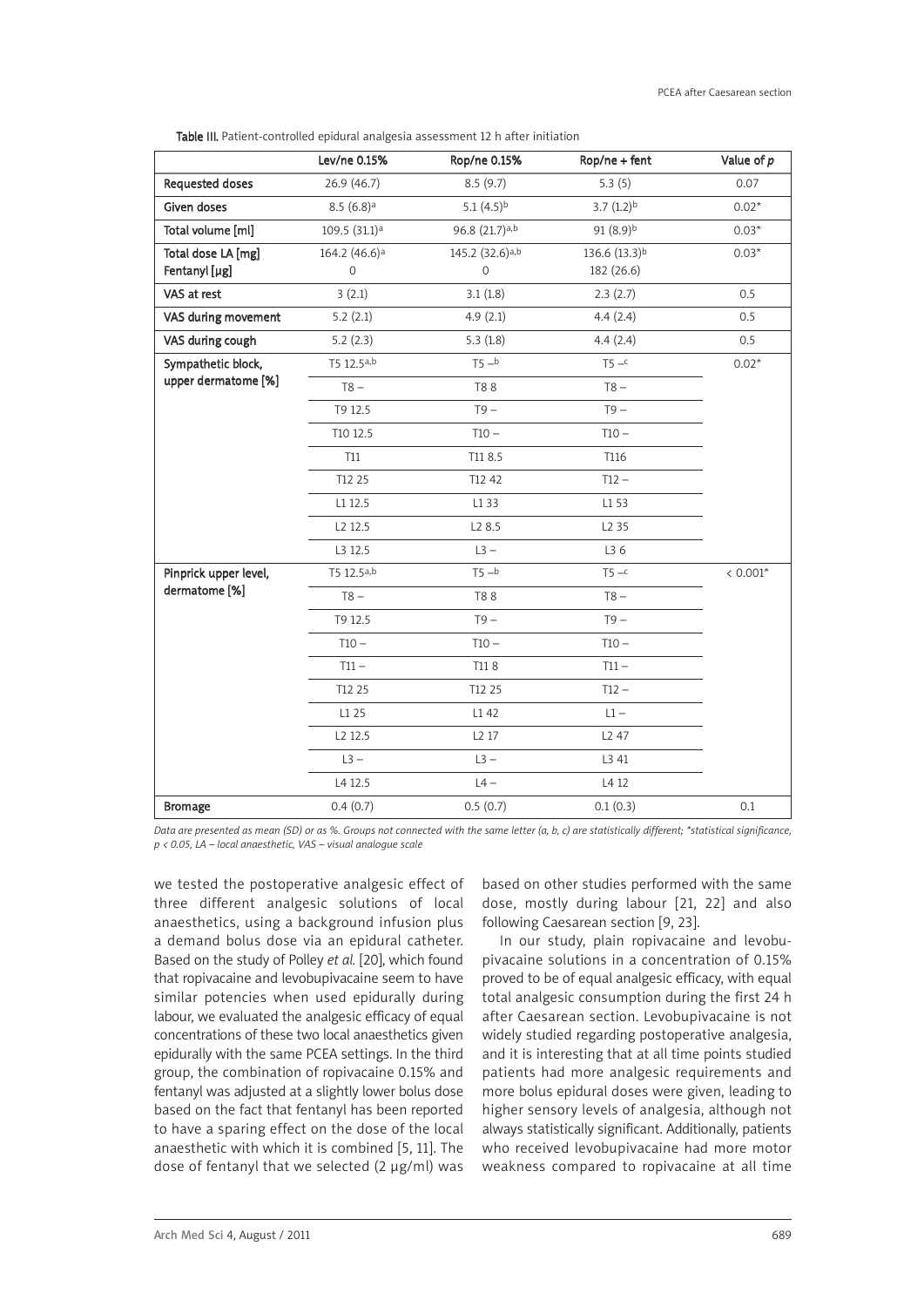|                        | Lev/ne 0.15%              | Rop/ne 0.15%       | Rop/ne + fent     | Value of p        |
|------------------------|---------------------------|--------------------|-------------------|-------------------|
| <b>Requested doses</b> | 26.9 (46.7)               | 8.5(9.7)           | 5.3(5)            | 0.07              |
| Given doses            | 8.5(6.8) <sup>a</sup>     | 5.1 $(4.5)^{b}$    | $3.7(1.2)^{b}$    | $0.02*$           |
| Total volume [ml]      | 109.5(31.1) <sup>a</sup>  | 96.8 (21.7)a,b     | 91 (8.9)b         | $0.03*$           |
| Total dose LA [mg]     | 164.2 (46.6) <sup>a</sup> | 145.2 (32.6)a,b    | 136.6 (13.3)b     | $0.03*$           |
| Fentanyl [µg]          | 0                         | $\mathbf{0}$       | 182 (26.6)        |                   |
| VAS at rest            | 3(2.1)                    | 3.1(1.8)           | 2.3(2.7)          | 0.5               |
| VAS during movement    | 5.2(2.1)                  | 4.9(2.1)           | 4.4(2.4)          | 0.5               |
| VAS during cough       | 5.2(2.3)                  | 5.3(1.8)           | 4.4(2.4)          | 0.5               |
| Sympathetic block,     | T5 12.5a,b                | $T5 -b$            | $T5 - c$          | $0.02*$           |
| upper dermatome [%]    | $T8 -$                    | T88                | $T8 -$            |                   |
|                        | T9 12.5                   | $T9-$              | $T9-$             |                   |
|                        | T10 12.5                  | $T10 -$            | $T10 -$           |                   |
|                        | T11                       | T11 8.5            | T116              |                   |
|                        | T12 25                    | T12 42             | $T12 -$           |                   |
|                        | L1 12.5                   | L1 33              | L1 53             |                   |
|                        | L <sub>2</sub> 12.5       | L <sub>2</sub> 8.5 | L <sub>2</sub> 35 |                   |
|                        | L3 12.5                   | $L3 -$             | L36               |                   |
| Pinprick upper level,  | T5 12.5a,b                | $T5 -b$            | $T5 - c$          | $< 0.001^{\star}$ |
| dermatome [%]          | $T8 -$                    | T88                | $T8 -$            |                   |
|                        | T9 12.5                   | $T9-$              | $T9-$             |                   |
|                        | $T10 -$                   | $T10 -$            | $T10-$            |                   |
|                        | $T11-$                    | T118               | $T11-$            |                   |
|                        | T12 25                    | T12 25             | $T12 -$           |                   |
|                        | L1 25                     | L1 42              | $L1 -$            |                   |
|                        | L <sub>2</sub> 12.5       | L <sub>2</sub> 17  | L <sub>2</sub> 47 |                   |
|                        | $L3 -$                    | $L3 -$             | L3 41             |                   |
|                        | L4 12.5                   | $L4 -$             | L4 12             |                   |
| <b>Bromage</b>         | 0.4(0.7)                  | 0.5(0.7)           | 0.1(0.3)          | 0.1               |

Table III. Patient-controlled epidural analgesia assessment 12 h after initiation

Data are presented as mean (SD) or as %. Groups not connected with the same letter (a, b, c) are statistically different; \*statistical significance, *p < 0.05, LA – local anaesthetic, VAS – visual analogue scale*

we tested the postoperative analgesic effect of three different analgesic solutions of local anaesthetics, using a background infusion plus a demand bolus dose via an epidural catheter. Based on the study of Polley *et al.* [20], which found that ropivacaine and levobupivacaine seem to have similar potencies when used epidurally during labour, we evaluated the analgesic efficacy of equal concentrations of these two local anaesthetics given epidurally with the same PCEA settings. In the third group, the combination of ropivacaine 0.15% and fentanyl was adjusted at a slightly lower bolus dose based on the fact that fentanyl has been reported to have a sparing effect on the dose of the local anaesthetic with which it is combined [5, 11]. The dose of fentanyl that we selected (2 µg/ml) was

based on other studies performed with the same dose, mostly during labour [21, 22] and also following Caesarean section [9, 23].

In our study, plain ropivacaine and levobupivacaine solutions in a concentration of 0.15% proved to be of equal analgesic efficacy, with equal total analgesic consumption during the first 24 h after Caesarean section. Levobupivacaine is not widely studied regarding postoperative analgesia, and it is interesting that at all time points studied patients had more analgesic requirements and more bolus epidural doses were given, leading to higher sensory levels of analgesia, although not always statistically significant. Additionally, patients who received levobupivacaine had more motor weakness compared to ropivacaine at all time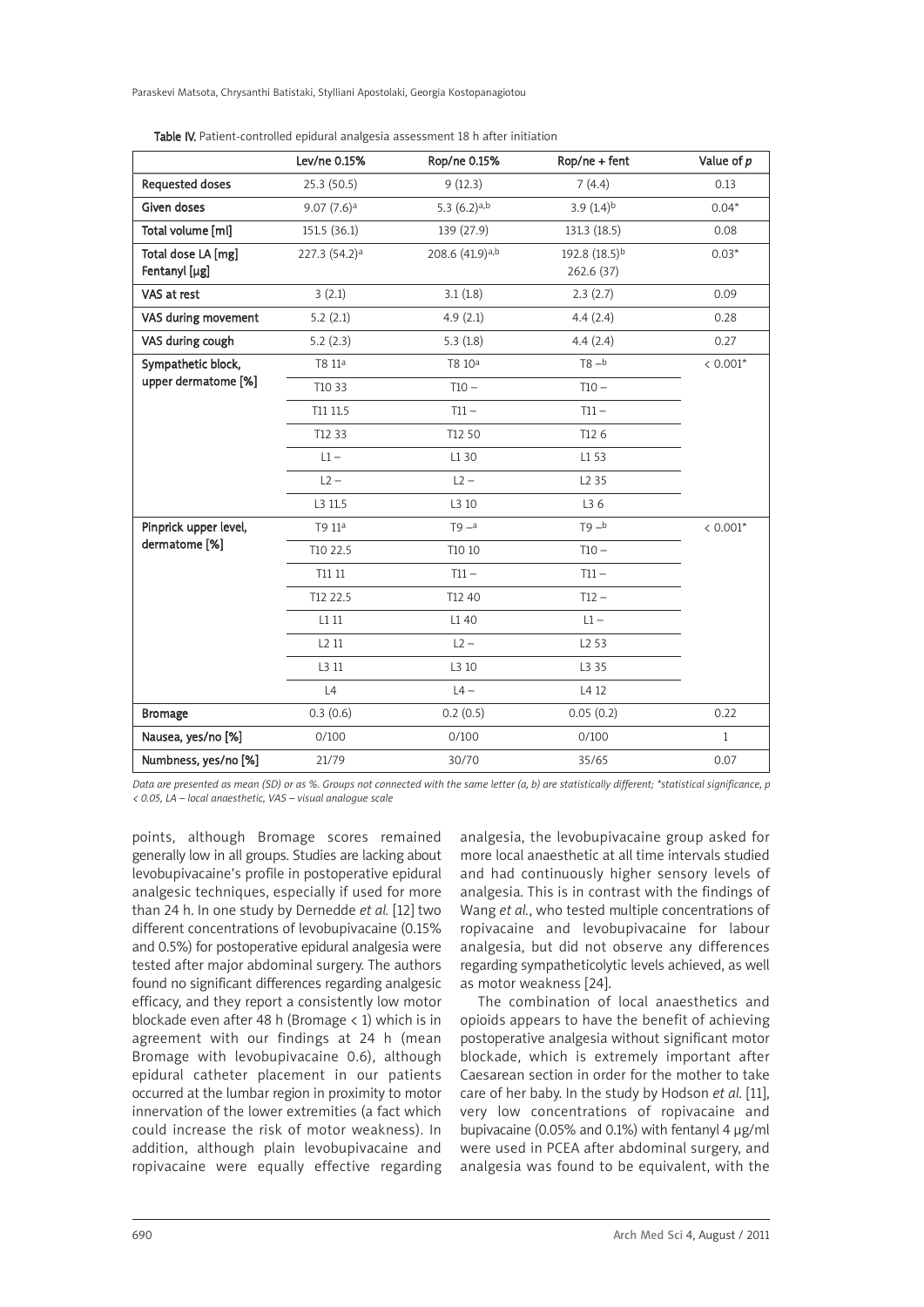Paraskevi Matsota, Chrysanthi Batistaki, Stylliani Apostolaki, Georgia Kostopanagiotou

|                                        | Lev/ne 0.15%              | Rop/ne 0.15%       | Rop/ne + fent               | Value of p |
|----------------------------------------|---------------------------|--------------------|-----------------------------|------------|
| <b>Requested doses</b>                 | 25.3(50.5)                | 9(12.3)            | 7(4.4)                      | 0.13       |
| Given doses                            | $9.07(7.6)$ <sup>a</sup>  | 5.3 $(6.2)$ a,b    | 3.9(1.4) <sup>b</sup>       | $0.04*$    |
| Total volume [ml]                      | 151.5(36.1)               | 139 (27.9)         | 131.3 (18.5)                | 0.08       |
| Total dose LA [mg]<br>Fentanyl [µg]    | 227.3 (54.2) <sup>a</sup> | 208.6 (41.9)a,b    | 192.8 (18.5)b<br>262.6 (37) | $0.03*$    |
| VAS at rest                            | 3(2.1)                    | 3.1(1.8)           | 2.3(2.7)                    | 0.09       |
| VAS during movement                    | 5.2(2.1)                  | 4.9(2.1)           | 4.4(2.4)                    | 0.28       |
| VAS during cough                       | 5.2(2.3)                  | 5.3(1.8)           | 4.4(2.4)                    | 0.27       |
| Sympathetic block,                     | T8 11ª                    | T8 10 <sup>a</sup> | $T8 - b$                    | $< 0.001*$ |
| upper dermatome [%]                    | T10 33                    | $T10 -$            | $T10 -$                     |            |
|                                        | T11 11.5                  | $T11-$             | $T11-$                      |            |
|                                        | T12 33                    | T12 50             | T12 6                       |            |
|                                        | $L1 -$                    | L1 30              | L1 53                       |            |
|                                        | $L2 -$                    | $L2 -$             | L <sub>2</sub> 35           |            |
|                                        | L3 11.5                   | L3 10              | L3 6                        |            |
| Pinprick upper level,<br>dermatome [%] | T9 11a                    | $T9 - a$           | $T9 - b$                    | $< 0.001*$ |
|                                        | T10 22.5                  | T10 10             | $T10 -$                     |            |
|                                        | T11 11                    | $T11-$             | $T11-$                      |            |
|                                        | T12 22.5                  | T12 40             | $T12 -$                     |            |
|                                        | L1 11                     | L1 40              | $L1 -$                      |            |
|                                        | L <sub>2</sub> 11         | $L2 -$             | L <sub>2</sub> 53           |            |
|                                        | L3 11                     | L3 10              | L3 35                       |            |
|                                        | L4                        | $L4 -$             | L4 12                       |            |
| <b>Bromage</b>                         | 0.3(0.6)                  | 0.2(0.5)           | 0.05(0.2)                   | 0.22       |
| Nausea, yes/no [%]                     | 0/100                     | 0/100              | 0/100                       | 1          |
| Numbness, yes/no [%]                   | 21/79                     | 30/70              | 35/65                       | 0.07       |

Table IV. Patient-controlled epidural analgesia assessment 18 h after initiation

Data are presented as mean (SD) or as %. Groups not connected with the same letter (a, b) are statistically different; \*statistical significance, p *< 0.05, LA – local anaesthetic, VAS – visual analogue scale*

points, although Bromage scores remained generally low in all groups. Studies are lacking about levobupivacaine's profile in postoperative epidural analgesic techniques, especially if used for more than 24 h. In one study by Dernedde *et al.* [12] two different concentrations of levobupivacaine (0.15% and 0.5%) for postoperative epidural analgesia were tested after major abdominal surgery. The authors found no significant differences regarding analgesic efficacy, and they report a consistently low motor blockade even after 48 h (Bromage  $\lt$  1) which is in agreement with our findings at 24 h (mean Bromage with levobupivacaine 0.6), although epidural catheter placement in our patients occurred at the lumbar region in proximity to motor innervation of the lower extremities (a fact which could increase the risk of motor weakness). In addition, although plain levobupivacaine and ropivacaine were equally effective regarding

analgesia, the levobupivacaine group asked for more local anaesthetic at all time intervals studied and had continuously higher sensory levels of analgesia. This is in contrast with the findings of Wang *et al.*, who tested multiple concentrations of ropivacaine and levobupivacaine for labour analgesia, but did not observe any differences regarding sympatheticolytic levels achieved, as well as motor weakness [24].

The combination of local anaesthetics and opioids appears to have the benefit of achieving postoperative analgesia without significant motor blockade, which is extremely important after Caesarean section in order for the mother to take care of her baby. In the study by Hodson *et al.* [11], very low concentrations of ropivacaine and bupivacaine (0.05% and 0.1%) with fentanyl 4 µg/ml were used in PCEA after abdominal surgery, and analgesia was found to be equivalent, with the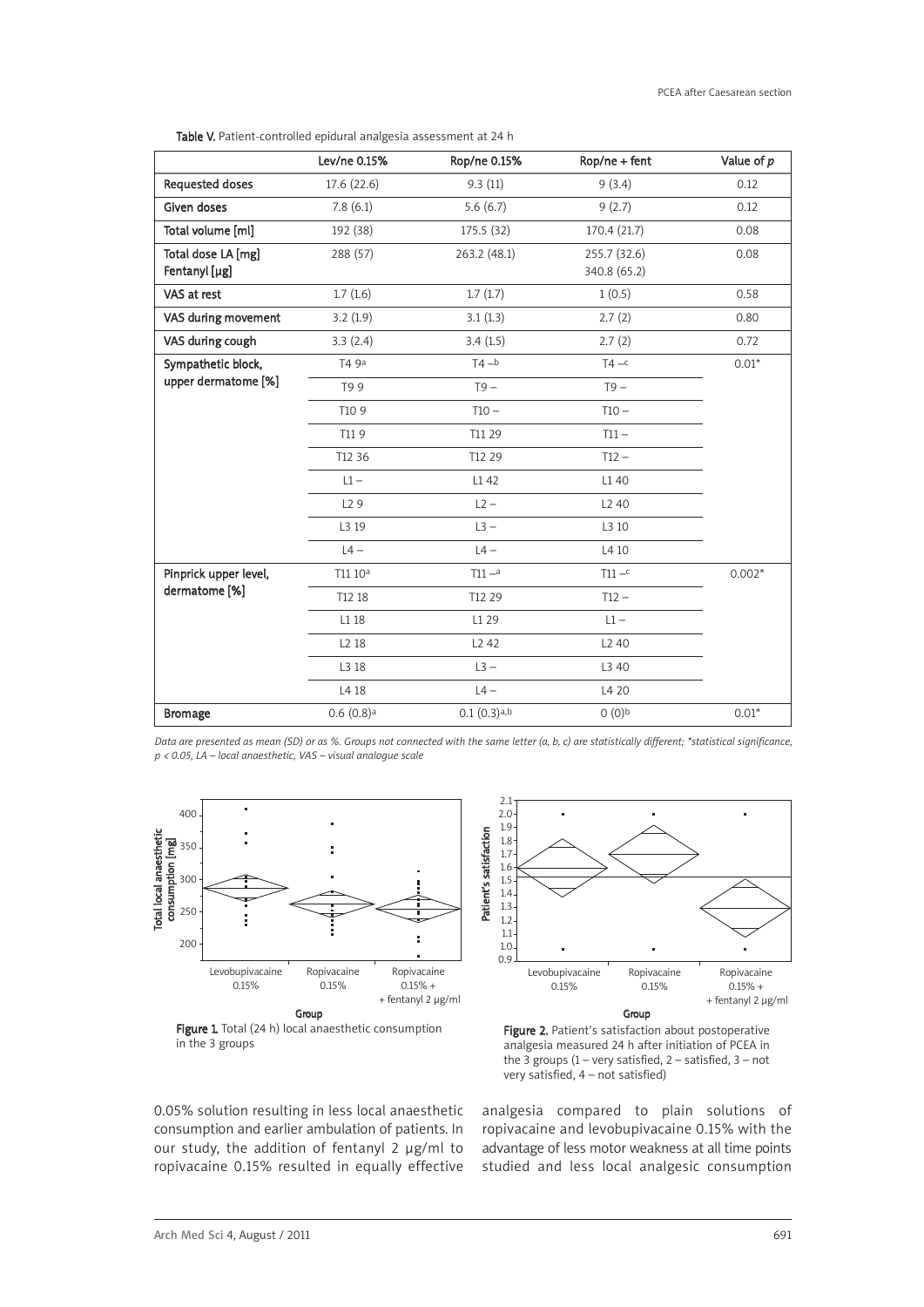|                                     | Lev/ne 0.15%            | Rop/ne 0.15%                  | Rop/ne + fent                | Value of p |
|-------------------------------------|-------------------------|-------------------------------|------------------------------|------------|
| Requested doses                     | 17.6(22.6)              | 9.3(11)                       | 9(3.4)                       | 0.12       |
| Given doses                         | 7.8(6.1)                | 5.6(6.7)                      | 9(2.7)                       | 0.12       |
| Total volume [ml]                   | 192 (38)                | 175.5 (32)                    | 170.4 (21.7)                 | 0.08       |
| Total dose LA [mg]<br>Fentanyl [µg] | 288 (57)                | 263.2 (48.1)                  | 255.7 (32.6)<br>340.8 (65.2) | 0.08       |
| VAS at rest                         | 1.7(1.6)                | 1.7(1.7)                      | 1(0.5)                       | 0.58       |
| VAS during movement                 | 3.2(1.9)                | 3.1(1.3)                      | 2.7(2)                       | 0.80       |
| VAS during cough                    | 3.3(2.4)                | 3.4(1.5)                      | 2.7(2)                       | 0.72       |
| Sympathetic block,                  | T4 9a                   | $T4 -b$                       | $T4 - c$                     | $0.01*$    |
| upper dermatome [%]                 | T9 9                    | $T9-$                         | $T9-$                        |            |
|                                     | T10 9                   | $T10-$                        | $T10-$                       |            |
|                                     | T119                    | T11 29                        | $T11-$                       |            |
|                                     | T12 36                  | T12 29                        | $T12 -$                      |            |
|                                     | $L1 -$                  | L1 42                         | L1 40                        |            |
|                                     | L <sub>2</sub> 9        | $L2 -$                        | L <sub>2</sub> 40            |            |
|                                     | L3 19                   | $L3 -$                        | L3 10                        |            |
|                                     | $L4 -$                  | $L4 -$                        | L4 10                        |            |
| Pinprick upper level,               | T11 10 <sup>a</sup>     | $T11 - a$                     | $T11 - c$                    | $0.002*$   |
| dermatome [%]                       | T12 18                  | T12 29                        | $T12 -$                      |            |
|                                     | L1 18                   | L1 29                         | $L1 -$                       |            |
|                                     | L <sub>2</sub> 18       | L <sub>2</sub> 4 <sub>2</sub> | L <sub>2</sub> 40            |            |
|                                     | L3 18                   | $L3 -$                        | L3 40                        |            |
|                                     | L4 18                   | $L4 -$                        | L4 20                        |            |
| <b>Bromage</b>                      | $0.6(0.8)$ <sup>a</sup> | $0.1(0.3)$ <sub>a,b</sub>     | $0(0)^{b}$                   | $0.01*$    |

Table V. Patient-controlled epidural analgesia assessment at 24 h

Data are presented as mean (SD) or as %. Groups not connected with the same letter (a, b, c) are statistically different; \*statistical significance, *p < 0.05, LA – local anaesthetic, VAS – visual analogue scale*



Figure 1. Total (24 h) local anaesthetic consumption in the 3 groups



Figure 2. Patient's satisfaction about postoperative analgesia measured 24 h after initiation of PCEA in the 3 groups (1 – very satisfied, 2 – satisfied, 3 – not very satisfied, 4 – not satisfied)

0.05% solution resulting in less local anaesthetic consumption and earlier ambulation of patients. In our study, the addition of fentanyl 2 µg/ml to ropivacaine 0.15% resulted in equally effective

analgesia compared to plain solutions of ropivacaine and levobupivacaine 0.15% with the advantage of less motor weakness at all time points studied and less local analgesic consumption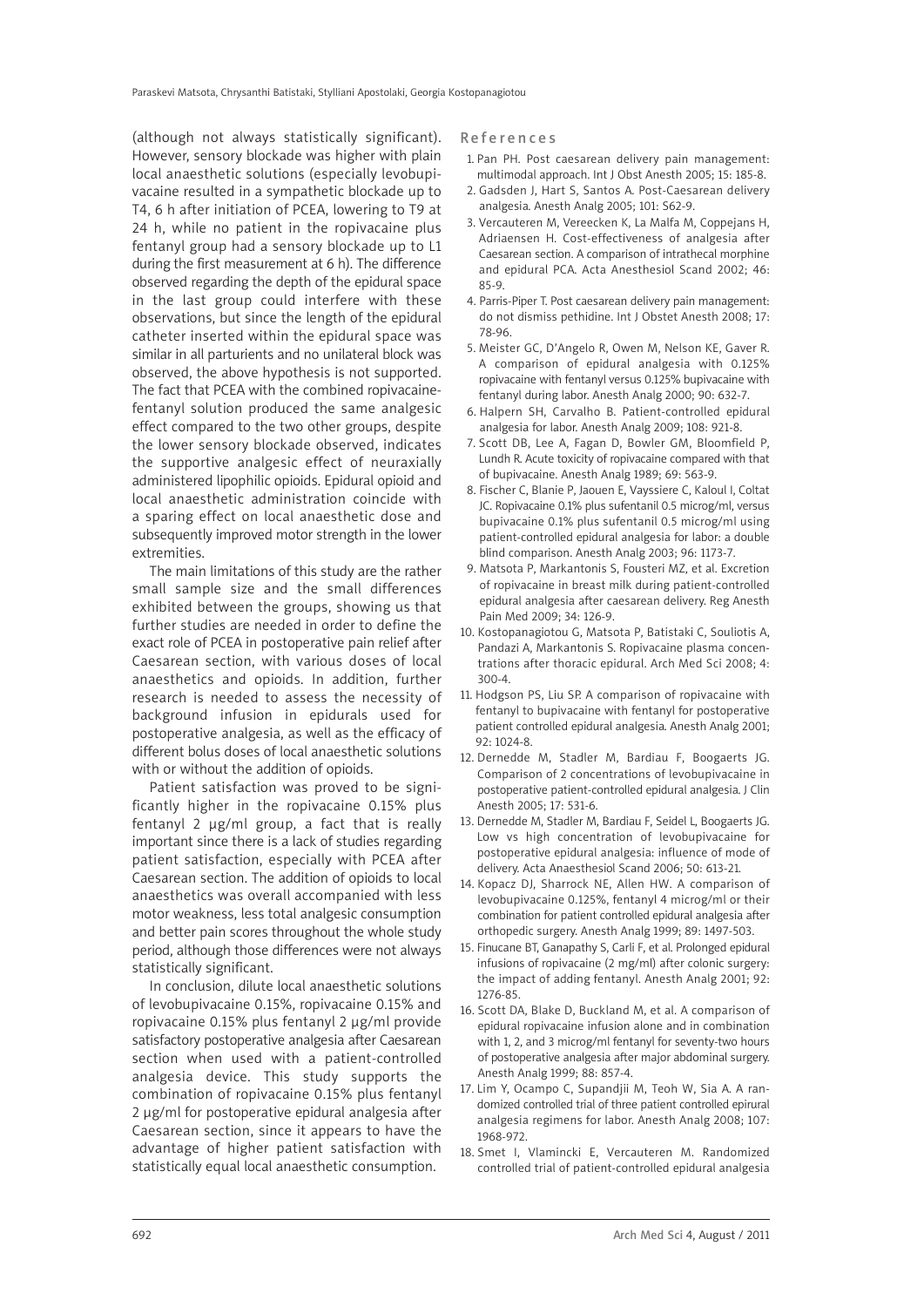(although not always statistically significant). However, sensory blockade was higher with plain local anaesthetic solutions (especially levobupivacaine resulted in a sympathetic blockade up to T4, 6 h after initiation of PCEA, lowering to T9 at 24 h, while no patient in the ropivacaine plus fentanyl group had a sensory blockade up to L1 during the first measurement at 6 h). The difference observed regarding the depth of the epidural space in the last group could interfere with these observations, but since the length of the epidural catheter inserted within the epidural space was similar in all parturients and no unilateral block was observed, the above hypothesis is not supported. The fact that PCEA with the combined ropivacainefentanyl solution produced the same analgesic effect compared to the two other groups, despite the lower sensory blockade observed, indicates the supportive analgesic effect of neuraxially administered lipophilic opioids. Epidural opioid and local anaesthetic administration coincide with a sparing effect on local anaesthetic dose and subsequently improved motor strength in the lower extremities.

The main limitations of this study are the rather small sample size and the small differences exhibited between the groups, showing us that further studies are needed in order to define the exact role of PCEA in postoperative pain relief after Caesarean section, with various doses of local anaesthetics and opioids. In addition, further research is needed to assess the necessity of background infusion in epidurals used for postoperative analgesia, as well as the efficacy of different bolus doses of local anaesthetic solutions with or without the addition of opioids.

Patient satisfaction was proved to be significantly higher in the ropivacaine 0.15% plus fentanyl 2 µg/ml group, a fact that is really important since there is a lack of studies regarding patient satisfaction, especially with PCEA after Caesarean section. The addition of opioids to local anaesthetics was overall accompanied with less motor weakness, less total analgesic consumption and better pain scores throughout the whole study period, although those differences were not always statistically significant.

In conclusion, dilute local anaesthetic solutions of levobupivacaine 0.15%, ropivacaine 0.15% and ropivacaine 0.15% plus fentanyl 2 µg/ml provide satisfactory postoperative analgesia after Caesarean section when used with a patient-controlled analgesia device. This study supports the combination of ropivacaine 0.15% plus fentanyl 2 µg/ml for postoperative epidural analgesia after Caesarean section, since it appears to have the advantage of higher patient satisfaction with statistically equal local anaesthetic consumption.

#### **References**

- 1. Pan PH. Post caesarean delivery pain management: multimodal approach. Int J Obst Anesth 2005; 15: 185-8.
- 2. Gadsden J, Hart S, Santos A. Post-Caesarean delivery analgesia. Anesth Analg 2005; 101: S62-9.
- 3. Vercauteren M, Vereecken K, La Malfa M, Coppejans H, Adriaensen H. Cost-effectiveness of analgesia after Caesarean section. A comparison of intrathecal morphine and epidural PCA. Acta Anesthesiol Scand 2002; 46: 85-9.
- 4. Parris-Piper T. Post caesarean delivery pain management: do not dismiss pethidine. Int J Obstet Anesth 2008; 17: 78-96.
- 5. Meister GC, D'Angelo R, Owen M, Nelson KE, Gaver R. A comparison of epidural analgesia with 0.125% ropivacaine with fentanyl versus 0.125% bupivacaine with fentanyl during labor. Anesth Analg 2000; 90: 632-7.
- 6. Halpern SH, Carvalho B. Patient-controlled epidural analgesia for labor. Anesth Analg 2009; 108: 921-8.
- 7. Scott DB, Lee A, Fagan D, Bowler GM, Bloomfield P, Lundh R. Acute toxicity of ropivacaine compared with that of bupivacaine. Anesth Analg 1989; 69: 563-9.
- 8. Fischer C, Blanie P, Jaouen E, Vayssiere C, Kaloul I, Coltat JC. Ropivacaine 0.1% plus sufentanil 0.5 microg/ml, versus bupivacaine 0.1% plus sufentanil 0.5 microg/ml using patient-controlled epidural analgesia for labor: a double blind comparison. Anesth Analg 2003; 96: 1173-7.
- 9. Matsota P, Markantonis S, Fousteri MZ, et al. Excretion of ropivacaine in breast milk during patient-controlled epidural analgesia after caesarean delivery. Reg Anesth Pain Med 2009; 34: 126-9.
- 10. Kostopanagiotou G, Matsota P, Batistaki C, Souliotis A, Pandazi A, Markantonis S. Ropivacaine plasma concentrations after thoracic epidural. Arch Med Sci 2008; 4: 300-4.
- 11. Hodgson PS, Liu SP. A comparison of ropivacaine with fentanyl to bupivacaine with fentanyl for postoperative patient controlled epidural analgesia. Anesth Analg 2001; 92: 1024-8.
- 12. Dernedde M, Stadler M, Bardiau F, Boogaerts JG. Comparison of 2 concentrations of levobupivacaine in postoperative patient-controlled epidural analgesia. J Clin Anesth 2005; 17: 531-6.
- 13. Dernedde M, Stadler M, Bardiau F, Seidel L, Boogaerts JG. Low vs high concentration of levobupivacaine for postoperative epidural analgesia: influence of mode of delivery. Acta Anaesthesiol Scand 2006; 50: 613-21.
- 14. Kopacz DJ, Sharrock NE, Allen HW. A comparison of levobupivacaine 0.125%, fentanyl 4 microg/ml or their combination for patient controlled epidural analgesia after orthopedic surgery. Anesth Analg 1999; 89: 1497-503.
- 15. Finucane BT, Ganapathy S, Carli F, et al. Prolonged epidural infusions of ropivacaine (2 mg/ml) after colonic surgery: the impact of adding fentanyl. Anesth Analg 2001; 92: 1276-85.
- 16. Scott DA, Blake D, Buckland M, et al. A comparison of epidural ropivacaine infusion alone and in combination with 1, 2, and 3 microg/ml fentanyl for seventy-two hours of postoperative analgesia after major abdominal surgery. Anesth Analg 1999; 88: 857-4.
- 17. Lim Y, Ocampo C, Supandjii M, Teoh W, Sia A. A randomized controlled trial of three patient controlled epirural analgesia regimens for labor. Anesth Analg 2008; 107: 1968-972.
- 18. Smet I, Vlamincki E, Vercauteren M. Randomized controlled trial of patient-controlled epidural analgesia